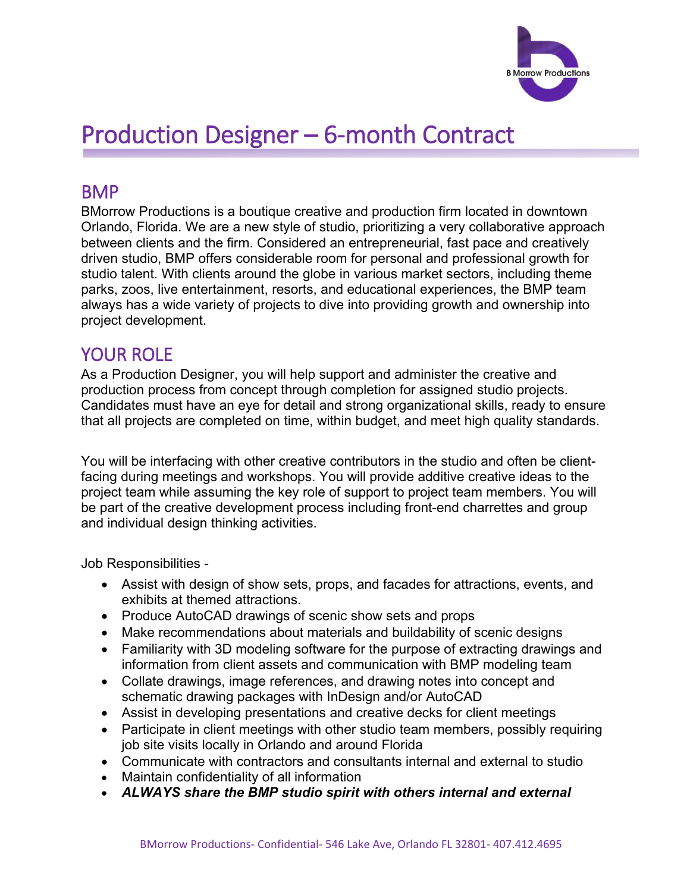

# Production Designer – 6-month Contract

#### BMP

BMorrow Productions is a boutique creative and production firm located in downtown Orlando, Florida. We are a new style of studio, prioritizing a very collaborative approach between clients and the firm. Considered an entrepreneurial, fast pace and creatively driven studio, BMP offers considerable room for personal and professional growth for studio talent. With clients around the globe in various market sectors, including theme parks, zoos, live entertainment, resorts, and educational experiences, the BMP team always has a wide variety of projects to dive into providing growth and ownership into project development.

#### YOUR ROLE

As a Production Designer, you will help support and administer the creative and production process from concept through completion for assigned studio projects. Candidates must have an eye for detail and strong organizational skills, ready to ensure that all projects are completed on time, within budget, and meet high quality standards.

You will be interfacing with other creative contributors in the studio and often be clientfacing during meetings and workshops. You will provide additive creative ideas to the project team while assuming the key role of support to project team members. You will be part of the creative development process including front-end charrettes and group and individual design thinking activities.

Job Responsibilities -

- Assist with design of show sets, props, and facades for attractions, events, and exhibits at themed attractions.
- Produce AutoCAD drawings of scenic show sets and props
- Make recommendations about materials and buildability of scenic designs
- Familiarity with 3D modeling software for the purpose of extracting drawings and information from client assets and communication with BMP modeling team
- Collate drawings, image references, and drawing notes into concept and schematic drawing packages with InDesign and/or AutoCAD
- Assist in developing presentations and creative decks for client meetings
- Participate in client meetings with other studio team members, possibly requiring job site visits locally in Orlando and around Florida
- Communicate with contractors and consultants internal and external to studio
- Maintain confidentiality of all information
- *ALWAYS share the BMP studio spirit with others internal and external*